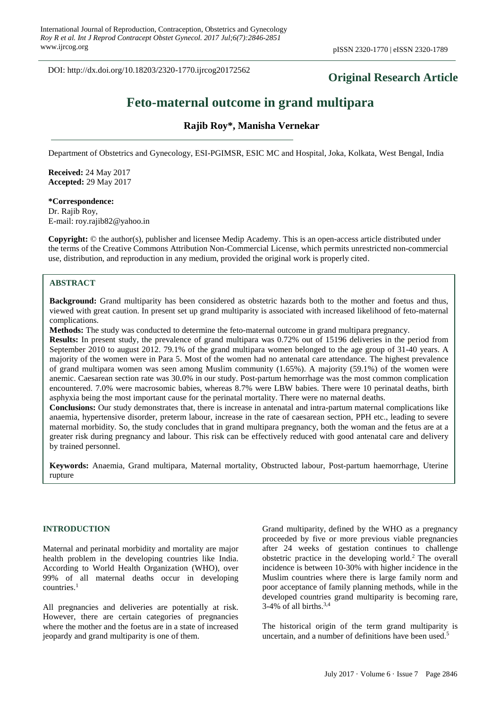DOI: http://dx.doi.org/10.18203/2320-1770.ijrcog20172562

## **Original Research Article**

# **Feto-maternal outcome in grand multipara**

## **Rajib Roy\*, Manisha Vernekar**

Department of Obstetrics and Gynecology, ESI-PGIMSR, ESIC MC and Hospital, Joka, Kolkata, West Bengal, India

**Received:** 24 May 2017 **Accepted:** 29 May 2017

**\*Correspondence:**

Dr. Rajib Roy, E-mail: roy.rajib82@yahoo.in

**Copyright:** © the author(s), publisher and licensee Medip Academy. This is an open-access article distributed under the terms of the Creative Commons Attribution Non-Commercial License, which permits unrestricted non-commercial use, distribution, and reproduction in any medium, provided the original work is properly cited.

#### **ABSTRACT**

**Background:** Grand multiparity has been considered as obstetric hazards both to the mother and foetus and thus, viewed with great caution. In present set up grand multiparity is associated with increased likelihood of feto-maternal complications.

**Methods:** The study was conducted to determine the feto-maternal outcome in grand multipara pregnancy.

**Results:** In present study, the prevalence of grand multipara was 0.72% out of 15196 deliveries in the period from September 2010 to august 2012. 79.1% of the grand multipara women belonged to the age group of 31-40 years. A majority of the women were in Para 5. Most of the women had no antenatal care attendance. The highest prevalence of grand multipara women was seen among Muslim community (1.65%). A majority (59.1%) of the women were anemic. Caesarean section rate was 30.0% in our study. Post-partum hemorrhage was the most common complication encountered. 7.0% were macrosomic babies, whereas 8.7% were LBW babies. There were 10 perinatal deaths, birth asphyxia being the most important cause for the perinatal mortality. There were no maternal deaths.

**Conclusions:** Our study demonstrates that, there is increase in antenatal and intra-partum maternal complications like anaemia, hypertensive disorder, preterm labour, increase in the rate of caesarean section, PPH etc., leading to severe maternal morbidity. So, the study concludes that in grand multipara pregnancy, both the woman and the fetus are at a greater risk during pregnancy and labour. This risk can be effectively reduced with good antenatal care and delivery by trained personnel.

**Keywords:** Anaemia, Grand multipara, Maternal mortality, Obstructed labour, Post-partum haemorrhage, Uterine rupture

#### **INTRODUCTION**

Maternal and perinatal morbidity and mortality are major health problem in the developing countries like India. According to World Health Organization (WHO), over 99% of all maternal deaths occur in developing  $countries.<sup>1</sup>$ 

All pregnancies and deliveries are potentially at risk. However, there are certain categories of pregnancies where the mother and the foetus are in a state of increased jeopardy and grand multiparity is one of them.

Grand multiparity, defined by the WHO as a pregnancy proceeded by five or more previous viable pregnancies after 24 weeks of gestation continues to challenge obstetric practice in the developing world.<sup>2</sup> The overall incidence is between 10-30% with higher incidence in the Muslim countries where there is large family norm and poor acceptance of family planning methods, while in the developed countries grand multiparity is becoming rare, 3-4% of all births.  $3,4$ 

The historical origin of the term grand multiparity is uncertain, and a number of definitions have been used.<sup>5</sup>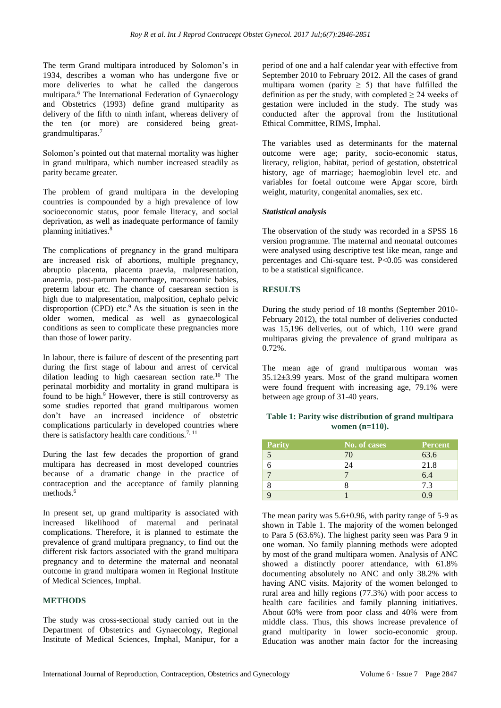The term Grand multipara introduced by Solomon's in 1934, describes a woman who has undergone five or more deliveries to what he called the dangerous multipara.<sup>6</sup> The International Federation of Gynaecology and Obstetrics (1993) define grand multiparity as delivery of the fifth to ninth infant, whereas delivery of the ten (or more) are considered being greatgrandmultiparas.<sup>7</sup>

Solomon's pointed out that maternal mortality was higher in grand multipara, which number increased steadily as parity became greater.

The problem of grand multipara in the developing countries is compounded by a high prevalence of low socioeconomic status, poor female literacy, and social deprivation, as well as inadequate performance of family planning initiatives.<sup>8</sup>

The complications of pregnancy in the grand multipara are increased risk of abortions, multiple pregnancy, abruptio placenta, placenta praevia, malpresentation, anaemia, post-partum haemorrhage, macrosomic babies, preterm labour etc. The chance of caesarean section is high due to malpresentation, malposition, cephalo pelvic disproportion  $\widehat{CPD}$  etc. As the situation is seen in the older women, medical as well as gynaecological conditions as seen to complicate these pregnancies more than those of lower parity.

In labour, there is failure of descent of the presenting part during the first stage of labour and arrest of cervical dilation leading to high caesarean section rate.<sup>10</sup> The perinatal morbidity and mortality in grand multipara is found to be high.<sup>9</sup> However, there is still controversy as some studies reported that grand multiparous women don't have an increased incidence of obstetric complications particularly in developed countries where there is satisfactory health care conditions.<sup>7, 11</sup>

During the last few decades the proportion of grand multipara has decreased in most developed countries because of a dramatic change in the practice of contraception and the acceptance of family planning methods.<sup>6</sup>

In present set, up grand multiparity is associated with increased likelihood of maternal and perinatal complications. Therefore, it is planned to estimate the prevalence of grand multipara pregnancy, to find out the different risk factors associated with the grand multipara pregnancy and to determine the maternal and neonatal outcome in grand multipara women in Regional Institute of Medical Sciences, Imphal.

## **METHODS**

The study was cross-sectional study carried out in the Department of Obstetrics and Gynaecology, Regional Institute of Medical Sciences, Imphal, Manipur, for a period of one and a half calendar year with effective from September 2010 to February 2012. All the cases of grand multipara women (parity  $\geq$  5) that have fulfilled the definition as per the study, with completed  $\geq 24$  weeks of gestation were included in the study. The study was conducted after the approval from the Institutional Ethical Committee, RIMS, Imphal.

The variables used as determinants for the maternal outcome were age; parity, socio-economic status, literacy, religion, habitat, period of gestation, obstetrical history, age of marriage; haemoglobin level etc. and variables for foetal outcome were Apgar score, birth weight, maturity, congenital anomalies, sex etc.

#### *Statistical analysis*

The observation of the study was recorded in a SPSS 16 version programme. The maternal and neonatal outcomes were analysed using descriptive test like mean, range and percentages and Chi-square test. P<0.05 was considered to be a statistical significance.

#### **RESULTS**

During the study period of 18 months (September 2010- February 2012), the total number of deliveries conducted was 15,196 deliveries, out of which, 110 were grand multiparas giving the prevalence of grand multipara as 0.72%.

The mean age of grand multiparous woman was  $35.12 \pm 3.99$  years. Most of the grand multipara women were found frequent with increasing age, 79.1% were between age group of 31-40 years.

#### **Table 1: Parity wise distribution of grand multipara women (n=110).**

| Parity | No. of cases | <b>Percent</b> |
|--------|--------------|----------------|
|        | 70           | 63.6           |
|        | 24           | 21.8           |
|        |              | 6.4            |
|        |              | 7.3            |
|        |              | በ ዓ            |

The mean parity was  $5.6\pm0.96$ , with parity range of  $5-9$  as shown in Table 1. The majority of the women belonged to Para 5 (63.6%). The highest parity seen was Para 9 in one woman. No family planning methods were adopted by most of the grand multipara women. Analysis of ANC showed a distinctly poorer attendance, with 61.8% documenting absolutely no ANC and only 38.2% with having ANC visits. Majority of the women belonged to rural area and hilly regions (77.3%) with poor access to health care facilities and family planning initiatives. About 60% were from poor class and 40% were from middle class. Thus, this shows increase prevalence of grand multiparity in lower socio-economic group. Education was another main factor for the increasing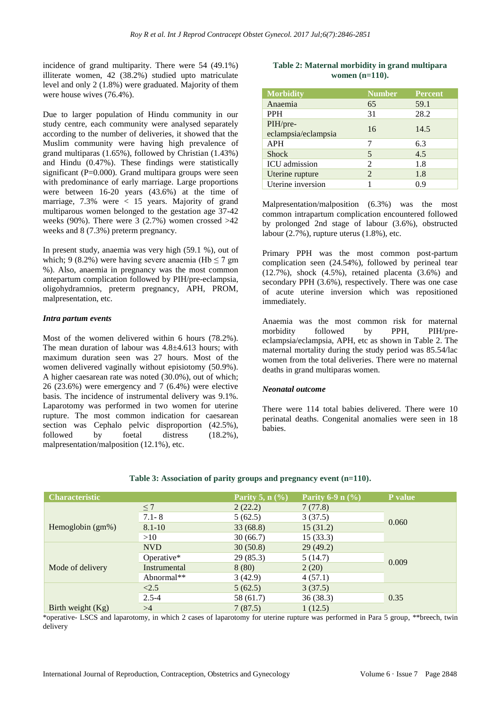incidence of grand multiparity. There were 54 (49.1%) illiterate women, 42 (38.2%) studied upto matriculate level and only 2 (1.8%) were graduated. Majority of them were house wives (76.4%).

Due to larger population of Hindu community in our study centre, each community were analysed separately according to the number of deliveries, it showed that the Muslim community were having high prevalence of grand multiparas (1.65%), followed by Christian (1.43%) and Hindu (0.47%). These findings were statistically significant  $(P=0.000)$ . Grand multipara groups were seen with predominance of early marriage. Large proportions were between 16-20 years (43.6%) at the time of marriage, 7.3% were < 15 years. Majority of grand multiparous women belonged to the gestation age 37-42 weeks (90%). There were  $3$  (2.7%) women crossed  $>42$ weeks and 8 (7.3%) preterm pregnancy.

In present study, anaemia was very high (59.1 %), out of which; 9 (8.2%) were having severe anaemia (Hb  $\leq$  7 gm %). Also, anaemia in pregnancy was the most common antepartum complication followed by PIH/pre-eclampsia, oligohydramnios, preterm pregnancy, APH, PROM, malpresentation, etc.

#### *Intra partum events*

Most of the women delivered within 6 hours (78.2%). The mean duration of labour was 4.8±4.613 hours; with maximum duration seen was 27 hours. Most of the women delivered vaginally without episiotomy (50.9%). A higher caesarean rate was noted (30.0%), out of which; 26 (23.6%) were emergency and 7 (6.4%) were elective basis. The incidence of instrumental delivery was 9.1%. Laparotomy was performed in two women for uterine rupture. The most common indication for caesarean section was Cephalo pelvic disproportion (42.5%), followed by foetal distress (18.2%), malpresentation/malposition (12.1%), etc.

#### **Table 2: Maternal morbidity in grand multipara women (n=110).**

| <b>Morbidity</b>                | <b>Number</b>               | <b>Percent</b> |
|---------------------------------|-----------------------------|----------------|
| Anaemia                         | 65                          | 59.1           |
| <b>PPH</b>                      | 31                          | 28.2           |
| PIH/pre-<br>eclampsia/eclampsia | 16                          | 14.5           |
| <b>APH</b>                      |                             | 6.3            |
| <b>Shock</b>                    | 5                           | 4.5            |
| ICU admission                   | 2                           | 1.8            |
| Uterine rupture                 | $\mathcal{D}_{\mathcal{L}}$ | 1.8            |
| Uterine inversion               |                             | 0.9            |

Malpresentation/malposition (6.3%) was the most common intrapartum complication encountered followed by prolonged 2nd stage of labour (3.6%), obstructed labour (2.7%), rupture uterus (1.8%), etc.

Primary PPH was the most common post-partum complication seen (24.54%), followed by perineal tear  $(12.7\%)$ , shock  $(4.5\%)$ , retained placenta  $(3.6\%)$  and secondary PPH (3.6%), respectively. There was one case of acute uterine inversion which was repositioned immediately.

Anaemia was the most common risk for maternal morbidity followed by PPH, PIH/preeclampsia/eclampsia, APH, etc as shown in Table 2. The maternal mortality during the study period was 85.54/lac women from the total deliveries. There were no maternal deaths in grand multiparas women.

#### *Neonatal outcome*

There were 114 total babies delivered. There were 10 perinatal deaths. Congenital anomalies were seen in 18 babies.

| <b>Characteristic</b> |              | Parity 5, $n$ $(\frac{6}{6})$ | <b>Parity 6-9 n</b> $(\% )$ | P value |
|-----------------------|--------------|-------------------------------|-----------------------------|---------|
| Hemoglobin $(gm\%)$   | $\leq 7$     | 2(22.2)                       | 7(77.8)                     | 0.060   |
|                       | $7.1 - 8$    | 5(62.5)                       | 3(37.5)                     |         |
|                       | $8.1 - 10$   | 33(68.8)                      | 15(31.2)                    |         |
|                       | >10          | 30(66.7)                      | 15(33.3)                    |         |
|                       | <b>NVD</b>   | 30(50.8)                      | 29(49.2)                    |         |
|                       | Operative*   | 29(85.3)                      | 5(14.7)                     |         |
| Mode of delivery      | Instrumental | 8(80)                         | 2(20)                       | 0.009   |
|                       | Abnormal**   | 3(42.9)                       | 4(57.1)                     |         |
|                       | < 2.5        | 5(62.5)                       | 3(37.5)                     |         |
|                       | $2.5 - 4$    | 58 (61.7)                     | 36(38.3)                    | 0.35    |
| Birth weight (Kg)     | >4           | 7(87.5)                       | 1(12.5)                     |         |

#### **Table 3: Association of parity groups and pregnancy event (n=110).**

\*operative- LSCS and laparotomy, in which 2 cases of laparotomy for uterine rupture was performed in Para 5 group, \*\*breech, twin delivery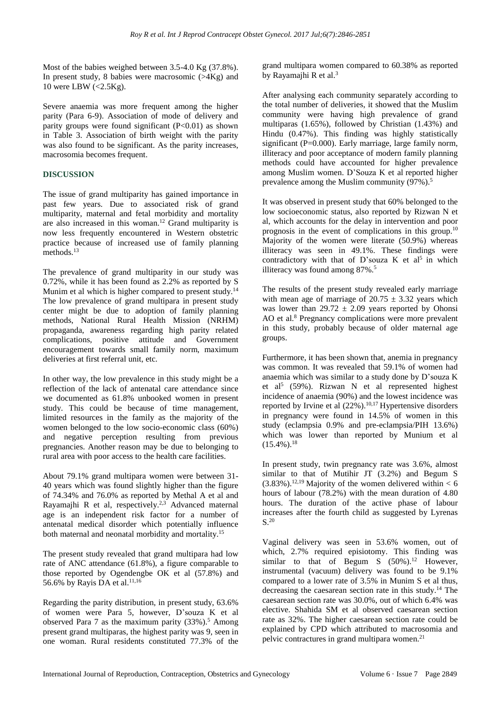Most of the babies weighed between 3.5-4.0 Kg (37.8%). In present study, 8 babies were macrosomic  $(>\!\!4Kg)$  and 10 were LBW (<2.5Kg).

Severe anaemia was more frequent among the higher parity (Para 6-9). Association of mode of delivery and parity groups were found significant  $(P<0.01)$  as shown in Table 3. Association of birth weight with the parity was also found to be significant. As the parity increases, macrosomia becomes frequent.

#### **DISCUSSION**

The issue of grand multiparity has gained importance in past few years. Due to associated risk of grand multiparity, maternal and fetal morbidity and mortality are also increased in this woman. <sup>12</sup> Grand multiparity is now less frequently encountered in Western obstetric practice because of increased use of family planning methods.<sup>13</sup>

The prevalence of grand multiparity in our study was 0.72%, while it has been found as 2.2% as reported by S Munim et al which is higher compared to present study.<sup>14</sup> The low prevalence of grand multipara in present study center might be due to adoption of family planning methods, National Rural Health Mission (NRHM) propaganda, awareness regarding high parity related complications, positive attitude and Government encouragement towards small family norm, maximum deliveries at first referral unit, etc.

In other way, the low prevalence in this study might be a reflection of the lack of antenatal care attendance since we documented as 61.8% unbooked women in present study. This could be because of time management, limited resources in the family as the majority of the women belonged to the low socio-economic class (60%) and negative perception resulting from previous pregnancies. Another reason may be due to belonging to rural area with poor access to the health care facilities.

About 79.1% grand multipara women were between 31- 40 years which was found slightly higher than the figure of 74.34% and 76.0% as reported by Methal A et al and Rayamajhi R et al, respectively.<sup>2,3</sup> Advanced maternal age is an independent risk factor for a number of antenatal medical disorder which potentially influence both maternal and neonatal morbidity and mortality.<sup>15</sup>

The present study revealed that grand multipara had low rate of ANC attendance (61.8%), a figure comparable to those reported by Ogendengbe OK et al (57.8%) and 56.6% by Rayis DA et al.<sup>11,16</sup>

Regarding the parity distribution, in present study, 63.6% of women were Para 5, however, D'souza K et al observed Para 7 as the maximum parity  $(33\%)$ <sup>5</sup> Among present grand multiparas, the highest parity was 9, seen in one woman. Rural residents constituted 77.3% of the grand multipara women compared to 60.38% as reported by Rayamajhi R et al.<sup>3</sup>

After analysing each community separately according to the total number of deliveries, it showed that the Muslim community were having high prevalence of grand multiparas (1.65%), followed by Christian (1.43%) and Hindu (0.47%). This finding was highly statistically significant ( $P=0.000$ ). Early marriage, large family norm, illiteracy and poor acceptance of modern family planning methods could have accounted for higher prevalence among Muslim women. D'Souza K et al reported higher prevalence among the Muslim community  $(97\%)$ .<sup>5</sup>

It was observed in present study that 60% belonged to the low socioeconomic status, also reported by Rizwan N et al, which accounts for the delay in intervention and poor prognosis in the event of complications in this group.<sup>10</sup> Majority of the women were literate (50.9%) whereas illiteracy was seen in 49.1%. These findings were contradictory with that of D'souza K et al<sup>5</sup> in which illiteracy was found among 87%.<sup>5</sup>

The results of the present study revealed early marriage with mean age of marriage of  $20.75 \pm 3.32$  years which was lower than  $29.72 \pm 2.09$  years reported by Ohonsi AO et al.<sup>8</sup> Pregnancy complications were more prevalent in this study, probably because of older maternal age groups.

Furthermore, it has been shown that, anemia in pregnancy was common. It was revealed that 59.1% of women had anaemia which was similar to a study done by D'souza K et al<sup>5</sup> (59%). Rizwan N et al represented highest incidence of anaemia (90%) and the lowest incidence was reported by Irvine et al (22%).<sup>10,17</sup> Hypertensive disorders in pregnancy were found in 14.5% of women in this study (eclampsia 0.9% and pre-eclampsia/PIH 13.6%) which was lower than reported by Munium et al  $(15.4\%)$ <sup>18</sup>

In present study, twin pregnancy rate was 3.6%, almost similar to that of Mutihir JT (3.2%) and Begum S  $(3.83\%)$ <sup>12,19</sup> Majority of the women delivered within < 6 hours of labour (78.2%) with the mean duration of 4.80 hours. The duration of the active phase of labour increases after the fourth child as suggested by Lyrenas S.<sup>20</sup>

Vaginal delivery was seen in 53.6% women, out of which, 2.7% required episiotomy. This finding was similar to that of Begum S  $(50\%)$ .<sup>12</sup> However, instrumental (vacuum) delivery was found to be 9.1% compared to a lower rate of 3.5% in Munim S et al thus, decreasing the caesarean section rate in this study.<sup>14</sup> The caesarean section rate was 30.0%, out of which 6.4% was elective. Shahida SM et al observed caesarean section rate as 32%. The higher caesarean section rate could be explained by CPD which attributed to macrosomia and pelvic contractures in grand multipara women.<sup>21</sup>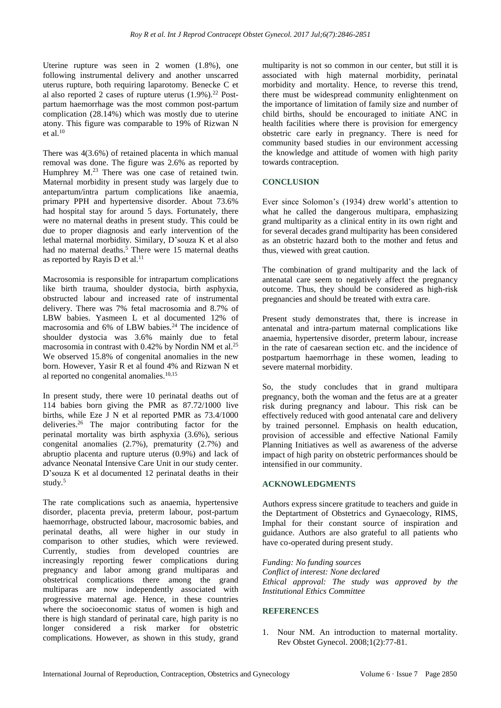Uterine rupture was seen in 2 women (1.8%), one following instrumental delivery and another unscarred uterus rupture, both requiring laparotomy. Benecke C et al also reported 2 cases of rupture uterus  $(1.9\%)$ .<sup>22</sup> Postpartum haemorrhage was the most common post-partum complication (28.14%) which was mostly due to uterine atony. This figure was comparable to 19% of Rizwan N et al. $10$ 

There was 4(3.6%) of retained placenta in which manual removal was done. The figure was 2.6% as reported by Humphrey M.<sup>23</sup> There was one case of retained twin. Maternal morbidity in present study was largely due to antepartum/intra partum complications like anaemia, primary PPH and hypertensive disorder. About 73.6% had hospital stay for around 5 days. Fortunately, there were no maternal deaths in present study. This could be due to proper diagnosis and early intervention of the lethal maternal morbidity. Similary, D'souza K et al also had no maternal deaths.<sup>5</sup> There were 15 maternal deaths as reported by Rayis D et al. $^{11}$ 

Macrosomia is responsible for intrapartum complications like birth trauma, shoulder dystocia, birth asphyxia, obstructed labour and increased rate of instrumental delivery. There was 7% fetal macrosomia and 8.7% of LBW babies. Yasmeen L et al documented 12% of macrosomia and 6% of LBW babies.<sup>24</sup> The incidence of shoulder dystocia was 3.6% mainly due to fetal macrosomia in contrast with 0.42% by Nordin NM et al.<sup>25</sup> We observed 15.8% of congenital anomalies in the new born. However, Yasir R et al found 4% and Rizwan N et al reported no congenital anomalies.<sup>10,15</sup>

In present study, there were 10 perinatal deaths out of 114 babies born giving the PMR as 87.72/1000 live births, while Eze J N et al reported PMR as 73.4/1000 deliveries.<sup>26</sup> The major contributing factor for the perinatal mortality was birth asphyxia (3.6%), serious congenital anomalies (2.7%), prematurity (2.7%) and abruptio placenta and rupture uterus (0.9%) and lack of advance Neonatal Intensive Care Unit in our study center. D'souza K et al documented 12 perinatal deaths in their study.<sup>5</sup>

The rate complications such as anaemia, hypertensive disorder, placenta previa, preterm labour, post-partum haemorrhage, obstructed labour, macrosomic babies, and perinatal deaths, all were higher in our study in comparison to other studies, which were reviewed. Currently, studies from developed countries are increasingly reporting fewer complications during pregnancy and labor among grand multiparas and obstetrical complications there among the grand multiparas are now independently associated with progressive maternal age. Hence, in these countries where the socioeconomic status of women is high and there is high standard of perinatal care, high parity is no longer considered a risk marker for obstetric complications. However, as shown in this study, grand multiparity is not so common in our center, but still it is associated with high maternal morbidity, perinatal morbidity and mortality. Hence, to reverse this trend, there must be widespread community enlightenment on the importance of limitation of family size and number of child births, should be encouraged to initiate ANC in health facilities where there is provision for emergency obstetric care early in pregnancy. There is need for community based studies in our environment accessing the knowledge and attitude of women with high parity towards contraception.

### **CONCLUSION**

Ever since Solomon's (1934) drew world's attention to what he called the dangerous multipara, emphasizing grand multiparity as a clinical entity in its own right and for several decades grand multiparity has been considered as an obstetric hazard both to the mother and fetus and thus, viewed with great caution.

The combination of grand multiparity and the lack of antenatal care seem to negatively affect the pregnancy outcome. Thus, they should be considered as high-risk pregnancies and should be treated with extra care.

Present study demonstrates that, there is increase in antenatal and intra-partum maternal complications like anaemia, hypertensive disorder, preterm labour, increase in the rate of caesarean section etc. and the incidence of postpartum haemorrhage in these women, leading to severe maternal morbidity.

So, the study concludes that in grand multipara pregnancy, both the woman and the fetus are at a greater risk during pregnancy and labour. This risk can be effectively reduced with good antenatal care and delivery by trained personnel. Emphasis on health education, provision of accessible and effective National Family Planning Initiatives as well as awareness of the adverse impact of high parity on obstetric performances should be intensified in our community.

#### **ACKNOWLEDGMENTS**

Authors express sincere gratitude to teachers and guide in the Deptartment of Obstetrics and Gynaecology, RIMS, Imphal for their constant source of inspiration and guidance. Authors are also grateful to all patients who have co-operated during present study.

*Funding: No funding sources Conflict of interest: None declared Ethical approval: The study was approved by the Institutional Ethics Committee*

#### **REFERENCES**

1. Nour NM. An introduction to maternal mortality. Rev Obstet Gynecol. 2008;1(2):77-81.